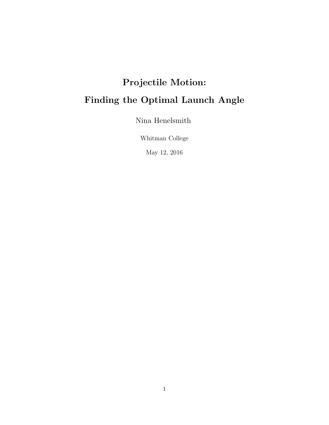# Projectile Motion: Finding the Optimal Launch Angle

Nina Henelsmith

Whitman College

May 12, 2016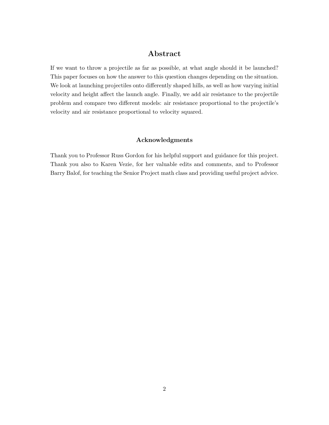# Abstract

If we want to throw a projectile as far as possible, at what angle should it be launched? This paper focuses on how the answer to this question changes depending on the situation. We look at launching projectiles onto differently shaped hills, as well as how varying initial velocity and height affect the launch angle. Finally, we add air resistance to the projectile problem and compare two different models: air resistance proportional to the projectile's velocity and air resistance proportional to velocity squared.

#### Acknowledgments

Thank you to Professor Russ Gordon for his helpful support and guidance for this project. Thank you also to Karen Vezie, for her valuable edits and comments, and to Professor Barry Balof, for teaching the Senior Project math class and providing useful project advice.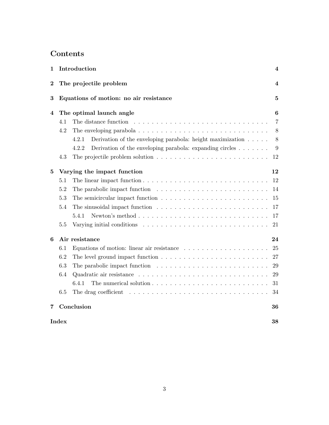# Contents

| 1            |                             | Introduction                                                                                        | 4              |
|--------------|-----------------------------|-----------------------------------------------------------------------------------------------------|----------------|
| $\bf{2}$     |                             | The projectile problem                                                                              |                |
| 3            |                             | Equations of motion: no air resistance                                                              | 5              |
| 4            | The optimal launch angle    |                                                                                                     | 6              |
|              | 4.1                         | The distance function $\ldots \ldots \ldots \ldots \ldots \ldots \ldots \ldots \ldots$              | $\overline{7}$ |
|              | 4.2                         | The enveloping parabola $\ldots \ldots \ldots \ldots \ldots \ldots \ldots \ldots \ldots \ldots$     | 8              |
|              |                             | Derivation of the enveloping parabola: height maximization $\ldots$ .<br>4.2.1                      | 8              |
|              |                             | Derivation of the enveloping parabola: expanding circles $\dots \dots$<br>4.2.2                     | 9              |
|              | 4.3                         | The projectile problem solution $\ldots \ldots \ldots \ldots \ldots \ldots \ldots \ldots \ldots$    | 12             |
| $\mathbf{5}$ | Varying the impact function |                                                                                                     | 12             |
|              | $5.1\,$                     |                                                                                                     | 12             |
|              | 5.2                         |                                                                                                     | 14             |
|              | 5.3                         |                                                                                                     | 15             |
|              | 5.4                         |                                                                                                     | 17             |
|              |                             | Newton's method $\ldots \ldots \ldots \ldots \ldots \ldots \ldots \ldots \ldots \ldots$<br>5.4.1    | 17             |
|              | 5.5                         | Varying initial conditions $\ldots \ldots \ldots \ldots \ldots \ldots \ldots \ldots \ldots$         | 21             |
| 6            |                             | Air resistance                                                                                      | 24             |
|              | 6.1                         |                                                                                                     | 25             |
|              | 6.2                         | The level ground impact function $\dots \dots \dots \dots \dots \dots \dots \dots \dots \dots$      | 27             |
|              | 6.3                         |                                                                                                     | 29             |
|              | 6.4                         |                                                                                                     | 29             |
|              |                             | 6.4.1                                                                                               | 31             |
|              | 6.5                         | The drag coefficient $\ldots \ldots \ldots \ldots \ldots \ldots \ldots \ldots \ldots \ldots \ldots$ | 34             |
| 7            |                             | Conclusion                                                                                          | 36             |
| <b>Index</b> |                             |                                                                                                     | 38             |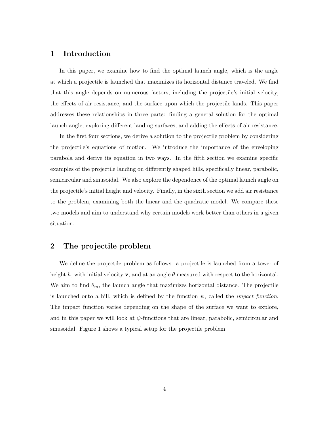## 1 Introduction

In this paper, we examine how to find the optimal launch angle, which is the angle at which a projectile is launched that maximizes its horizontal distance traveled. We find that this angle depends on numerous factors, including the projectile's initial velocity, the effects of air resistance, and the surface upon which the projectile lands. This paper addresses these relationships in three parts: finding a general solution for the optimal launch angle, exploring different landing surfaces, and adding the effects of air resistance.

In the first four sections, we derive a solution to the projectile problem by considering the projectile's equations of motion. We introduce the importance of the enveloping parabola and derive its equation in two ways. In the fifth section we examine specific examples of the projectile landing on differently shaped hills, specifically linear, parabolic, semicircular and sinusoidal. We also explore the dependence of the optimal launch angle on the projectile's initial height and velocity. Finally, in the sixth section we add air resistance to the problem, examining both the linear and the quadratic model. We compare these two models and aim to understand why certain models work better than others in a given situation.

# 2 The projectile problem

We define the projectile problem as follows: a projectile is launched from a tower of height h, with initial velocity **v**, and at an angle  $\theta$  measured with respect to the horizontal. We aim to find  $\theta_m$ , the launch angle that maximizes horizontal distance. The projectile is launched onto a hill, which is defined by the function  $\psi$ , called the *impact function*. The impact function varies depending on the shape of the surface we want to explore, and in this paper we will look at  $\psi$ -functions that are linear, parabolic, semicircular and sinusoidal. Figure 1 shows a typical setup for the projectile problem.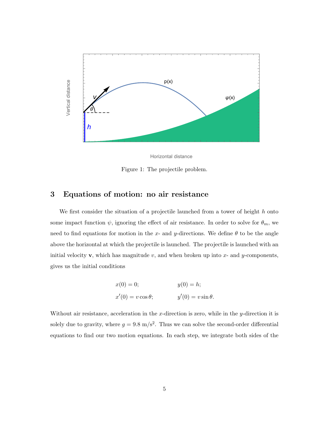

Horizontal distance

Figure 1: The projectile problem.

## 3 Equations of motion: no air resistance

We first consider the situation of a projectile launched from a tower of height *h* onto some impact function  $\psi$ , ignoring the effect of air resistance. In order to solve for  $\theta_m$ , we need to find equations for motion in the *x*- and *y*-directions. We define  $\theta$  to be the angle above the horizontal at which the projectile is launched. The projectile is launched with an initial velocity **v**, which has magnitude  $v$ , and when broken up into  $x$ - and  $y$ -components, gives us the initial conditions

$$
x(0) = 0;
$$
  
\n
$$
y(0) = h;
$$
  
\n
$$
x'(0) = v \cos \theta;
$$
  
\n
$$
y'(0) = v \sin \theta.
$$

Without air resistance, acceleration in the *x*-direction is zero, while in the *y*-direction it is solely due to gravity, where  $g = 9.8 \text{ m/s}^2$ . Thus we can solve the second-order differential equations to find our two motion equations. In each step, we integrate both sides of the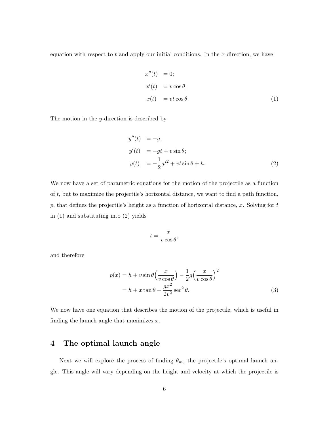equation with respect to *t* and apply our initial conditions. In the *x*-direction, we have

$$
x''(t) = 0;
$$
  
\n
$$
x'(t) = v \cos \theta;
$$
  
\n
$$
x(t) = vt \cos \theta.
$$
 (1)

The motion in the *y*-direction is described by

$$
y''(t) = -g;
$$
  
\n
$$
y'(t) = -gt + v \sin \theta;
$$
  
\n
$$
y(t) = -\frac{1}{2}gt^2 + vt \sin \theta + h.
$$
\n(2)

We now have a set of parametric equations for the motion of the projectile as a function of *t*, but to maximize the projectile's horizontal distance, we want to find a path function, *p*, that defines the projectile's height as a function of horizontal distance, *x*. Solving for *t* in (1) and substituting into (2) yields

$$
t = \frac{x}{v\cos\theta},
$$

and therefore

$$
p(x) = h + v \sin \theta \left(\frac{x}{v \cos \theta}\right) - \frac{1}{2}g \left(\frac{x}{v \cos \theta}\right)^2
$$

$$
= h + x \tan \theta - \frac{gx^2}{2v^2} \sec^2 \theta.
$$
(3)

We now have one equation that describes the motion of the projectile, which is useful in finding the launch angle that maximizes *x*.

# 4 The optimal launch angle

Next we will explore the process of finding  $\theta_m$ , the projectile's optimal launch angle. This angle will vary depending on the height and velocity at which the projectile is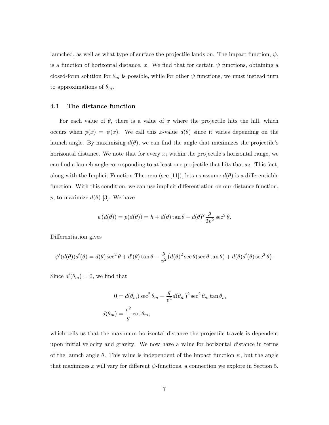launched, as well as what type of surface the projectile lands on. The impact function,  $\psi$ , is a function of horizontal distance, x. We find that for certain  $\psi$  functions, obtaining a closed-form solution for  $\theta_m$  is possible, while for other  $\psi$  functions, we must instead turn to approximations of  $\theta_m$ .

#### 4.1 The distance function

For each value of  $\theta$ , there is a value of x where the projectile hits the hill, which occurs when  $p(x) = \psi(x)$ . We call this *x*-value  $d(\theta)$  since it varies depending on the launch angle. By maximizing  $d(\theta)$ , we can find the angle that maximizes the projectile's horizontal distance. We note that for every  $x_i$  within the projectile's horizontal range, we can find a launch angle corresponding to at least one projectile that hits that *xi*. This fact, along with the Implicit Function Theorem (see [11]), lets us assume  $d(\theta)$  is a differentiable function. With this condition, we can use implicit differentiation on our distance function, *p*, to maximize  $d(\theta)$  [3]. We have

$$
\psi(d(\theta)) = p(d(\theta)) = h + d(\theta) \tan \theta - d(\theta)^2 \frac{g}{2v^2} \sec^2 \theta.
$$

Differentiation gives

$$
\psi'(d(\theta))d'(\theta) = d(\theta)\sec^2\theta + d'(\theta)\tan\theta - \frac{g}{v^2}\big(d(\theta)^2\sec\theta(\sec\theta\tan\theta) + d(\theta)d'(\theta)\sec^2\theta\big).
$$

Since  $d'(\theta_m) = 0$ , we find that

$$
0 = d(\theta_m) \sec^2 \theta_m - \frac{g}{v^2} d(\theta_m)^2 \sec^2 \theta_m \tan \theta_m
$$
  

$$
d(\theta_m) = \frac{v^2}{g} \cot \theta_m,
$$

which tells us that the maximum horizontal distance the projectile travels is dependent upon initial velocity and gravity. We now have a value for horizontal distance in terms of the launch angle  $\theta$ . This value is independent of the impact function  $\psi$ , but the angle that maximizes x will vary for different  $\psi$ -functions, a connection we explore in Section 5.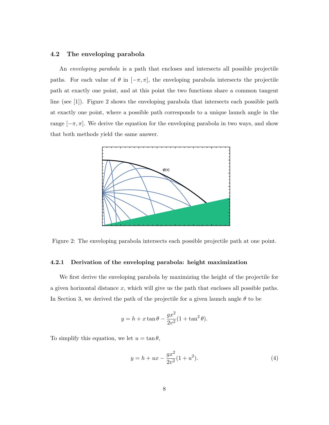#### 4.2 The enveloping parabola

An *enveloping parabola* is a path that encloses and intersects all possible projectile paths. For each value of  $\theta$  in  $[-\pi, \pi]$ , the enveloping parabola intersects the projectile path at exactly one point, and at this point the two functions share a common tangent line (see [1]). Figure 2 shows the enveloping parabola that intersects each possible path at exactly one point, where a possible path corresponds to a unique launch angle in the range  $[-\pi, \pi]$ . We derive the equation for the enveloping parabola in two ways, and show that both methods yield the same answer.



Figure 2: The enveloping parabola intersects each possible projectile path at one point.

#### 4.2.1 Derivation of the enveloping parabola: height maximization

We first derive the enveloping parabola by maximizing the height of the projectile for a given horizontal distance *x*, which will give us the path that encloses all possible paths. In Section 3, we derived the path of the projectile for a given launch angle  $\theta$  to be

$$
y = h + x \tan \theta - \frac{gx^2}{2v^2} (1 + \tan^2 \theta).
$$

To simplify this equation, we let  $u = \tan \theta$ ,

$$
y = h + ux - \frac{gx^2}{2v^2}(1 + u^2).
$$
 (4)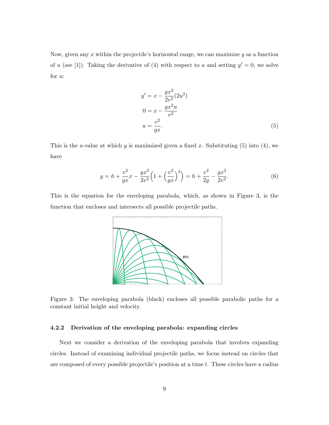Now, given any *x* within the projectile's horizontal range, we can maximize *y* as a function of *u* (see [1]). Taking the derivative of (4) with respect to *u* and setting  $y' = 0$ , we solve for *u*:

$$
y' = x - \frac{gx^2}{2v^2}(2u^2)
$$
  
\n
$$
0 = x - \frac{gx^2u}{v^2}
$$
  
\n
$$
u = \frac{v^2}{gx}.
$$
\n(5)

This is the *u*-value at which *y* is maximized given a fixed *x*. Substituting (5) into (4), we have

$$
y = h + \frac{v^2}{gx}x - \frac{gx^2}{2v^2} \left(1 + \left(\frac{v^2}{gx}\right)^2\right) = h + \frac{v^2}{2g} - \frac{gx^2}{2v^2}.
$$
 (6)

This is the equation for the enveloping parabola, which, as shown in Figure 3, is the function that encloses and intersects all possible projectile paths.



Figure 3: The enveloping parabola (black) encloses all possible parabolic paths for a constant initial height and velocity.

#### 4.2.2 Derivation of the enveloping parabola: expanding circles

Next we consider a derivation of the enveloping parabola that involves expanding circles. Instead of examining individual projectile paths, we focus instead on circles that are composed of every possible projectile's position at a time *t*. These circles have a radius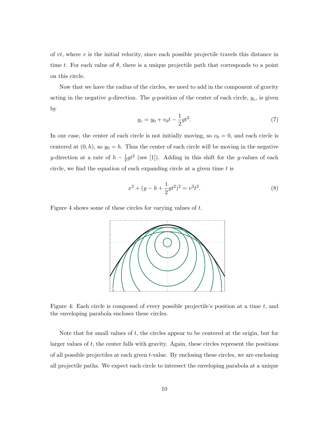of *vt*, where *v* is the initial velocity, since each possible projectile travels this distance in time *t*. For each value of  $\theta$ , there is a unique projectile path that corresponds to a point on this circle.

Now that we have the radius of the circles, we need to add in the component of gravity acting in the negative *y*-direction. The *y*-position of the center of each circle,  $y_c$ , is given by

$$
y_c = y_0 + v_0 t - \frac{1}{2}gt^2.
$$
 (7)

In our case, the center of each circle is not initially moving, so  $v_0 = 0$ , and each circle is centered at  $(0, h)$ , so  $y_0 = h$ . Thus the center of each circle will be moving in the negative *y*-direction at a rate of  $h - \frac{1}{2}gt^2$  (see [1]). Adding in this shift for the *y*-values of each circle, we find the equation of each expanding circle at a given time *t* is

$$
x^{2} + (y - h + \frac{1}{2}gt^{2})^{2} = v^{2}t^{2}.
$$
\n(8)

Figure 4 shows some of these circles for varying values of *t*.



Figure 4: Each circle is composed of every possible projectile's position at a time *t*, and the enveloping parabola encloses these circles.

Note that for small values of *t*, the circles appear to be centered at the origin, but for larger values of *t*, the center falls with gravity. Again, these circles represent the positions of all possible projectiles at each given *t*-value. By enclosing these circles, we are enclosing all projectile paths. We expect each circle to intersect the enveloping parabola at a unique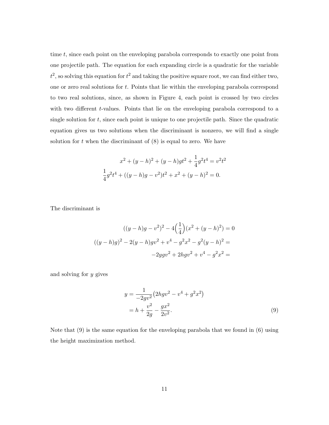time *t*, since each point on the enveloping parabola corresponds to exactly one point from one projectile path. The equation for each expanding circle is a quadratic for the variable  $t^2$ , so solving this equation for  $t^2$  and taking the positive square root, we can find either two, one or zero real solutions for *t*. Points that lie within the enveloping parabola correspond to two real solutions, since, as shown in Figure 4, each point is crossed by two circles with two different *t*-values. Points that lie on the enveloping parabola correspond to a single solution for *t*, since each point is unique to one projectile path. Since the quadratic equation gives us two solutions when the discriminant is nonzero, we will find a single solution for  $t$  when the discriminant of  $(8)$  is equal to zero. We have

$$
x^{2} + (y - h)^{2} + (y - h)gt^{2} + \frac{1}{4}g^{2}t^{4} = v^{2}t^{2}
$$

$$
\frac{1}{4}g^{2}t^{4} + ((y - h)g - v^{2})t^{2} + x^{2} + (y - h)^{2} = 0.
$$

The discriminant is

$$
((y-h)g - v2)2 - 4\left(\frac{1}{4}\right)(x2 + (y-h)2) = 0
$$

$$
((y-h)g)2 - 2(y-h)gv2 + v4 - g2x2 - g2(y-h)2 =
$$

$$
-2ygv2 + 2hgv2 + v4 - g2x2 =
$$

and solving for *y* gives

$$
y = \frac{1}{-2gv^2} (2hgv^2 - v^4 + g^2x^2)
$$
  
=  $h + \frac{v^2}{2g} - \frac{gx^2}{2v^2}$ . (9)

Note that  $(9)$  is the same equation for the enveloping parabola that we found in  $(6)$  using the height maximization method.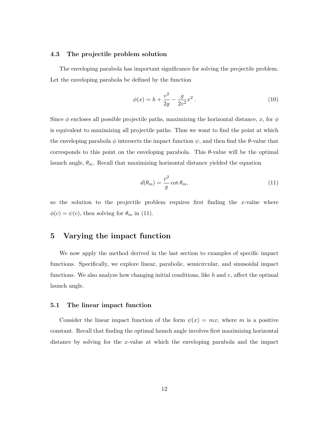#### 4.3 The projectile problem solution

The enveloping parabola has important significance for solving the projectile problem. Let the enveloping parabola be defined by the function

$$
\phi(x) = h + \frac{v^2}{2g} - \frac{g}{2v^2}x^2.
$$
\n(10)

Since  $\phi$  encloses all possible projectile paths, maximizing the horizontal distance, x, for  $\phi$ is equivalent to maximizing all projectile paths. Thus we want to find the point at which the enveloping parabola  $\phi$  intersects the impact function  $\psi$ , and then find the  $\theta$ -value that corresponds to this point on the enveloping parabola. This  $\theta$ -value will be the optimal launch angle,  $\theta_m$ . Recall that maximizing horizontal distance yielded the equation

$$
d(\theta_m) = \frac{v^2}{g} \cot \theta_m,\tag{11}
$$

so the solution to the projectile problem requires first finding the *x*-value where  $\phi(c) = \psi(c)$ , then solving for  $\theta_m$  in (11).

## 5 Varying the impact function

We now apply the method derived in the last section to examples of specific impact functions. Specifically, we explore linear, parabolic, semicircular, and sinusoidal impact functions. We also analyze how changing initial conditions, like  $h$  and  $v$ , affect the optimal launch angle.

#### 5.1 The linear impact function

Consider the linear impact function of the form  $\psi(x) = mx$ , where *m* is a positive constant. Recall that finding the optimal launch angle involves first maximizing horizontal distance by solving for the *x*-value at which the enveloping parabola and the impact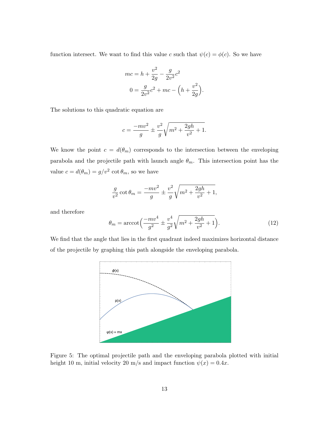function intersect. We want to find this value *c* such that  $\psi(c) = \phi(c)$ . So we have

$$
mc = h + \frac{v^2}{2g} - \frac{g}{2v^2}c^2
$$

$$
0 = \frac{g}{2v^2}c^2 + mc - \left(h + \frac{v^2}{2g}\right)
$$

The solutions to this quadratic equation are

$$
c = \frac{-mv^2}{g} \pm \frac{v^2}{g} \sqrt{m^2 + \frac{2gh}{v^2} + 1}.
$$

We know the point  $c = d(\theta_m)$  corresponds to the intersection between the enveloping parabola and the projectile path with launch angle  $\theta_m$ . This intersection point has the value  $c = d(\theta_m) = g/v^2 \cot \theta_m$ , so we have

$$
\frac{g}{v^2} \cot \theta_m = \frac{-mv^2}{g} \pm \frac{v^2}{g} \sqrt{m^2 + \frac{2gh}{v^2} + 1},
$$

and therefore

$$
\theta_m = \operatorname{arccot} \left( \frac{-mv^4}{g^2} \pm \frac{v^4}{g^2} \sqrt{m^2 + \frac{2gh}{v^2} + 1} \right). \tag{12}
$$

*.*

We find that the angle that lies in the first quadrant indeed maximizes horizontal distance of the projectile by graphing this path alongside the enveloping parabola.



Figure 5: The optimal projectile path and the enveloping parabola plotted with initial height 10 m, initial velocity 20 m/s and impact function  $\psi(x)=0.4x$ .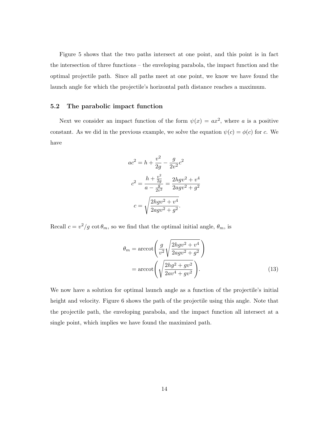Figure 5 shows that the two paths intersect at one point, and this point is in fact the intersection of three functions – the enveloping parabola, the impact function and the optimal projectile path. Since all paths meet at one point, we know we have found the launch angle for which the projectile's horizontal path distance reaches a maximum.

#### 5.2 The parabolic impact function

Next we consider an impact function of the form  $\psi(x) = ax^2$ , where *a* is a positive constant. As we did in the previous example, we solve the equation  $\psi(c) = \phi(c)$  for *c*. We have

$$
ac^{2} = h + \frac{v^{2}}{2g} - \frac{g}{2v^{2}}c^{2}
$$

$$
c^{2} = \frac{h + \frac{v^{2}}{2g}}{a - \frac{g}{2v^{2}}} = \frac{2hgv^{2} + v^{4}}{2agv^{2} + g^{2}}
$$

$$
c = \sqrt{\frac{2hgv^{2} + v^{4}}{2agv^{2} + g^{2}}}.
$$

Recall  $c = v^2/g \cot \theta_m$ , so we find that the optimal initial angle,  $\theta_m$ , is

$$
\theta_m = \operatorname{arccot}\left(\frac{g}{v^2} \sqrt{\frac{2hgv^2 + v^4}{2agv^2 + g^2}}\right)
$$

$$
= \operatorname{arccot}\left(\sqrt{\frac{2hg^2 + gv^2}{2av^4 + gv^2}}\right).
$$
(13)

We now have a solution for optimal launch angle as a function of the projectile's initial height and velocity. Figure 6 shows the path of the projectile using this angle. Note that the projectile path, the enveloping parabola, and the impact function all intersect at a single point, which implies we have found the maximized path.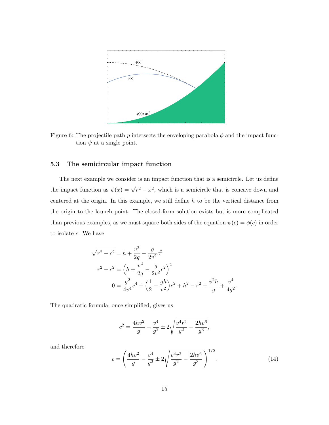

Figure 6: The projectile path  $p$  intersects the enveloping parabola  $\phi$  and the impact function  $\psi$  at a single point.

#### 5.3 The semicircular impact function

The next example we consider is an impact function that is a semicircle. Let us define the impact function as  $\psi(x) = \sqrt{r^2 - x^2}$ , which is a semicircle that is concave down and centered at the origin. In this example, we still define *h* to be the vertical distance from the origin to the launch point. The closed-form solution exists but is more complicated than previous examples, as we must square both sides of the equation  $\psi(c) = \phi(c)$  in order to isolate *c*. We have

$$
\sqrt{r^2 - c^2} = h + \frac{v^2}{2g} - \frac{g}{2v^2}c^2
$$
  

$$
r^2 - c^2 = \left(h + \frac{v^2}{2g} - \frac{g}{2v^2}c^2\right)^2
$$
  

$$
0 = \frac{g^2}{4v^4}c^4 + \left(\frac{1}{2} - \frac{gh}{v^2}\right)c^2 + h^2 - r^2 + \frac{v^2h}{g} + \frac{v^4}{4g^2}.
$$

The quadratic formula, once simplified, gives us

$$
c^{2} = \frac{4hv^{2}}{g} - \frac{v^{4}}{g^{2}} \pm 2\sqrt{\frac{v^{4}r^{2}}{g^{2}} - \frac{2hv^{6}}{g^{3}}},
$$

and therefore

$$
c = \left(\frac{4hv^2}{g} - \frac{v^4}{g^2} \pm 2\sqrt{\frac{v^4r^2}{g^2} - \frac{2hv^6}{g^3}}\right)^{1/2}.
$$
 (14)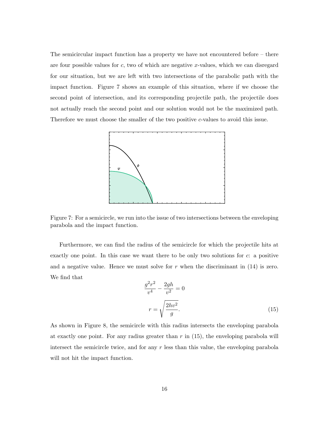The semicircular impact function has a property we have not encountered before – there are four possible values for *c*, two of which are negative *x*-values, which we can disregard for our situation, but we are left with two intersections of the parabolic path with the impact function. Figure 7 shows an example of this situation, where if we choose the second point of intersection, and its corresponding projectile path, the projectile does not actually reach the second point and our solution would not be the maximized path. Therefore we must choose the smaller of the two positive *c*-values to avoid this issue.



Figure 7: For a semicircle, we run into the issue of two intersections between the enveloping parabola and the impact function.

Furthermore, we can find the radius of the semicircle for which the projectile hits at exactly one point. In this case we want there to be only two solutions for *c*: a positive and a negative value. Hence we must solve for  $r$  when the discriminant in  $(14)$  is zero. We find that

$$
\frac{g^2r^2}{v^4} - \frac{2gh}{v^2} = 0
$$
  

$$
r = \sqrt{\frac{2hv^2}{g}}.
$$
 (15)

As shown in Figure 8, the semicircle with this radius intersects the enveloping parabola at exactly one point. For any radius greater than *r* in (15), the enveloping parabola will intersect the semicircle twice, and for any *r* less than this value, the enveloping parabola will not hit the impact function.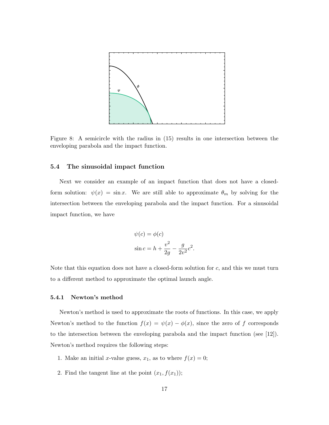

Figure 8: A semicircle with the radius in (15) results in one intersection between the enveloping parabola and the impact function.

#### 5.4 The sinusoidal impact function

Next we consider an example of an impact function that does not have a closedform solution:  $\psi(x) = \sin x$ . We are still able to approximate  $\theta_m$  by solving for the intersection between the enveloping parabola and the impact function. For a sinusoidal impact function, we have

$$
\psi(c) = \phi(c)
$$
  

$$
\sin c = h + \frac{v^2}{2g} - \frac{g}{2v^2}c^2.
$$

Note that this equation does not have a closed-form solution for *c*, and this we must turn to a different method to approximate the optimal launch angle.

#### 5.4.1 Newton's method

Newton's method is used to approximate the roots of functions. In this case, we apply Newton's method to the function  $f(x) = \psi(x) - \phi(x)$ , since the zero of *f* corresponds to the intersection between the enveloping parabola and the impact function (see [12]). Newton's method requires the following steps:

- 1. Make an initial *x*-value guess,  $x_1$ , as to where  $f(x) = 0$ ;
- 2. Find the tangent line at the point  $(x_1, f(x_1))$ ;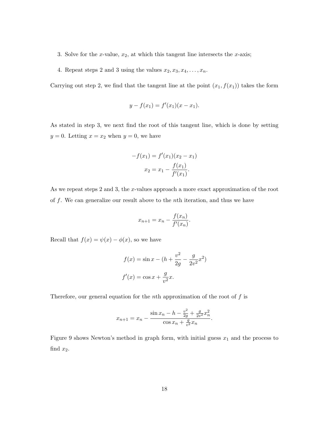- 3. Solve for the *x*-value, *x*2, at which this tangent line intersects the *x*-axis;
- 4. Repeat steps 2 and 3 using the values  $x_2, x_3, x_4, \ldots, x_n$ .

Carrying out step 2, we find that the tangent line at the point  $(x_1, f(x_1))$  takes the form

$$
y - f(x_1) = f'(x_1)(x - x_1).
$$

As stated in step 3, we next find the root of this tangent line, which is done by setting  $y = 0$ . Letting  $x = x_2$  when  $y = 0$ , we have

$$
-f(x_1) = f'(x_1)(x_2 - x_1)
$$

$$
x_2 = x_1 - \frac{f(x_1)}{f'(x_1)}.
$$

As we repeat steps 2 and 3, the *x*-values approach a more exact approximation of the root of *f*. We can generalize our result above to the *n*th iteration, and thus we have

$$
x_{n+1} = x_n - \frac{f(x_n)}{f'(x_n)}.
$$

Recall that  $f(x) = \psi(x) - \phi(x)$ , so we have

$$
f(x) = \sin x - (h + \frac{v^2}{2g} - \frac{g}{2v^2}x^2)
$$

$$
f'(x) = \cos x + \frac{g}{v^2}x.
$$

Therefore, our general equation for the *n*th approximation of the root of *f* is

$$
x_{n+1} = x_n - \frac{\sin x_n - h - \frac{v^2}{2g} + \frac{g}{2v^2}x_n^2}{\cos x_n + \frac{g}{v^2}x_n}.
$$

Figure 9 shows Newton's method in graph form, with initial guess *x*<sup>1</sup> and the process to find *x*2.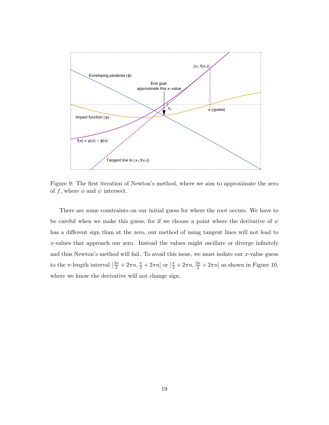

Figure 9: The first iteration of Newton's method, where we aim to approximate the zero of f, where  $\phi$  and  $\psi$  intersect.

There are some constraints on our initial guess for where the root occurs. We have to be careful when we make this guess, for if we choose a point where the derivative of  $\psi$ has a different sign than at the zero, our method of using tangent lines will not lead to *x*-values that approach our zero. Instead the values might oscillate or diverge infinitely and thus Newton's method will fail. To avoid this issue, we must isolate our *x*-value guess to the  $\pi$ -length interval  $\left[\frac{3\pi}{2} + 2\pi n, \frac{\pi}{2} + 2\pi n\right]$  or  $\left[\frac{\pi}{2} + 2\pi n, \frac{3\pi}{2} + 2\pi n\right]$  as shown in Figure 10, where we know the derivative will not change sign.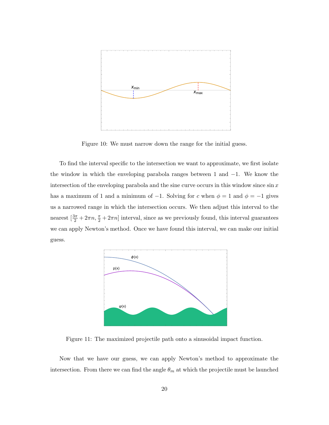

Figure 10: We must narrow down the range for the initial guess.

To find the interval specific to the intersection we want to approximate, we first isolate the window in which the enveloping parabola ranges between 1 and  $-1$ . We know the intersection of the enveloping parabola and the sine curve occurs in this window since sin *x* has a maximum of 1 and a minimum of  $-1$ . Solving for *c* when  $\phi = 1$  and  $\phi = -1$  gives us a narrowed range in which the intersection occurs. We then adjust this interval to the nearest  $\left[\frac{3\pi}{2} + 2\pi n, \frac{\pi}{2} + 2\pi n\right]$  interval, since as we previously found, this interval guarantees we can apply Newton's method. Once we have found this interval, we can make our initial guess.



Figure 11: The maximized projectile path onto a sinusoidal impact function.

Now that we have our guess, we can apply Newton's method to approximate the intersection. From there we can find the angle  $\theta_m$  at which the projectile must be launched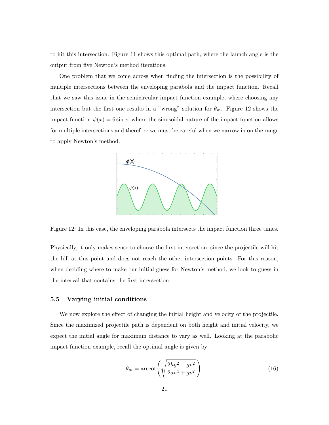to hit this intersection. Figure 11 shows this optimal path, where the launch angle is the output from five Newton's method iterations.

One problem that we come across when finding the intersection is the possibility of multiple intersections between the enveloping parabola and the impact function. Recall that we saw this issue in the semicircular impact function example, where choosing any intersection but the first one results in a "wrong" solution for  $\theta_m$ . Figure 12 shows the impact function  $\psi(x) = 6 \sin x$ , where the sinusoidal nature of the impact function allows for multiple intersections and therefore we must be careful when we narrow in on the range to apply Newton's method.



Figure 12: In this case, the enveloping parabola intersects the impact function three times.

Physically, it only makes sense to choose the first intersection, since the projectile will hit the hill at this point and does not reach the other intersection points. For this reason, when deciding where to make our initial guess for Newton's method, we look to guess in the interval that contains the first intersection.

#### 5.5 Varying initial conditions

We now explore the effect of changing the initial height and velocity of the projectile. Since the maximized projectile path is dependent on both height and initial velocity, we expect the initial angle for maximum distance to vary as well. Looking at the parabolic impact function example, recall the optimal angle is given by

$$
\theta_m = \operatorname{arccot}\left(\sqrt{\frac{2hg^2 + gv^2}{2av^4 + gv^2}}\right).
$$
\n(16)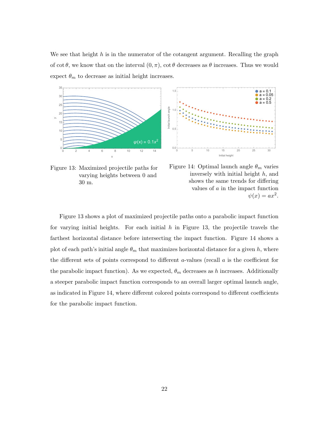We see that height *h* is in the numerator of the cotangent argument. Recalling the graph of cot  $\theta$ , we know that on the interval  $(0, \pi)$ , cot  $\theta$  decreases as  $\theta$  increases. Thus we would expect  $\theta_m$  to decrease as initial height increases.



Figure 13: Maximized projectile paths for varying heights between 0 and 30 m.



Figure 14: Optimal launch angle  $\theta_m$  varies inversely with initial height *h*, and shows the same trends for differing values of *a* in the impact function  $\psi(x) = ax^2$ .

Figure 13 shows a plot of maximized projectile paths onto a parabolic impact function for varying initial heights. For each initial *h* in Figure 13, the projectile travels the farthest horizontal distance before intersecting the impact function. Figure 14 shows a plot of each path's initial angle  $\theta_m$  that maximizes horizontal distance for a given h, where the different sets of points correspond to different *a*-values (recall  $a$  is the coefficient for the parabolic impact function). As we expected,  $\theta_m$  decreases as *h* increases. Additionally a steeper parabolic impact function corresponds to an overall larger optimal launch angle, as indicated in Figure 14, where different colored points correspond to different coefficients for the parabolic impact function.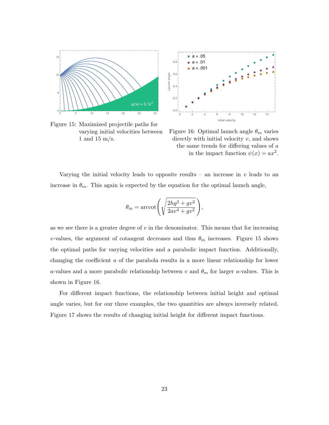

Figure 15: Maximized projectile paths for varying initial velocities between 1 and 15 m/s.



Figure 16: Optimal launch angle  $\theta_m$  varies directly with initial velocity *v*, and shows the same trends for differing values of a in the impact function  $\psi(x) = ax^2$ .

*,*

Varying the initial velocity leads to opposite results – an increase in *v* leads to an increase in  $\theta_m$ . This again is expected by the equation for the optimal launch angle,

$$
\theta_m = \operatorname{arccot}\left(\sqrt{\frac{2hg^2 + gv^2}{2av^4 + gv^2}}\right)
$$

as we see there is a greater degree of *v* in the denominator. This means that for increasing *v*-values, the argument of cotangent decreases and thus  $\theta_m$  increases. Figure 15 shows the optimal paths for varying velocities and a parabolic impact function. Additionally, changing the coefficient  $a$  of the parabola results in a more linear relationship for lower *a*-values and a more parabolic relationship between *v* and  $\theta_m$  for larger *a*-values. This is shown in Figure 16.

For different impact functions, the relationship between initial height and optimal angle varies, but for our three examples, the two quantities are always inversely related. Figure 17 shows the results of changing initial height for different impact functions.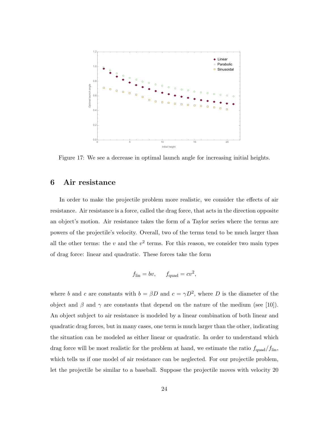

Figure 17: We see a decrease in optimal launch angle for increasing initial heights.

## 6 Air resistance

In order to make the projectile problem more realistic, we consider the effects of air resistance. Air resistance is a force, called the drag force, that acts in the direction opposite an object's motion. Air resistance takes the form of a Taylor series where the terms are powers of the projectile's velocity. Overall, two of the terms tend to be much larger than all the other terms: the *v* and the  $v^2$  terms. For this reason, we consider two main types of drag force: linear and quadratic. These forces take the form

$$
f_{\rm lin} = bv, \qquad f_{\rm quad} = cv^2,
$$

where *b* and *c* are constants with  $b = \beta D$  and  $c = \gamma D^2$ , where *D* is the diameter of the object and  $\beta$  and  $\gamma$  are constants that depend on the nature of the medium (see [10]). An object subject to air resistance is modeled by a linear combination of both linear and quadratic drag forces, but in many cases, one term is much larger than the other, indicating the situation can be modeled as either linear or quadratic. In order to understand which drag force will be most realistic for the problem at hand, we estimate the ratio  $f_{\text{quad}}/f_{\text{lin}}$ , which tells us if one model of air resistance can be neglected. For our projectile problem, let the projectile be similar to a baseball. Suppose the projectile moves with velocity 20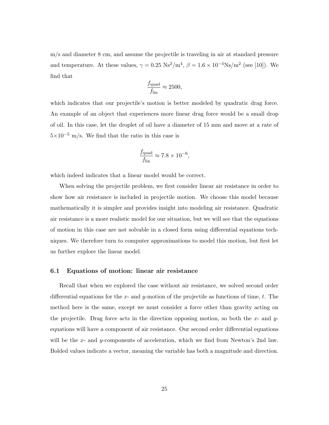m/s and diameter 8 cm, and assume the projectile is traveling in air at standard pressure and temperature. At these values,  $\gamma = 0.25 \text{ Ns}^2/\text{m}^4$ ,  $\beta = 1.6 \times 10^{-4} \text{Ns}/\text{m}^2$  (see [10]). We find that

$$
\frac{f_{\text{quad}}}{f_{\text{lin}}} \approx 2500,
$$

which indicates that our projectile's motion is better modeled by quadratic drag force. An example of an object that experiences more linear drag force would be a small drop of oil. In this case, let the droplet of oil have a diameter of 15 mm and move at a rate of  $5\times10^{-5}$  m/s. We find that the ratio in this case is

$$
\frac{f_{\text{quad}}}{f_{\text{lin}}} \approx 7.8 \times 10^{-6},
$$

which indeed indicates that a linear model would be correct.

When solving the projectile problem, we first consider linear air resistance in order to show how air resistance is included in projectile motion. We choose this model because mathematically it is simpler and provides insight into modeling air resistance. Quadratic air resistance is a more realistic model for our situation, but we will see that the equations of motion in this case are not solvable in a closed form using differential equations techniques. We therefore turn to computer approximations to model this motion, but first let us further explore the linear model.

#### 6.1 Equations of motion: linear air resistance

Recall that when we explored the case without air resistance, we solved second order differential equations for the  $x$ - and  $y$ -motion of the projectile as functions of time,  $t$ . The method here is the same, except we must consider a force other than gravity acting on the projectile. Drag force acts in the direction opposing motion, so both the *x*- and *y*equations will have a component of air resistance. Our second order differential equations will be the *x*- and *y*-components of acceleration, which we find from Newton's 2nd law. Bolded values indicate a vector, meaning the variable has both a magnitude and direction.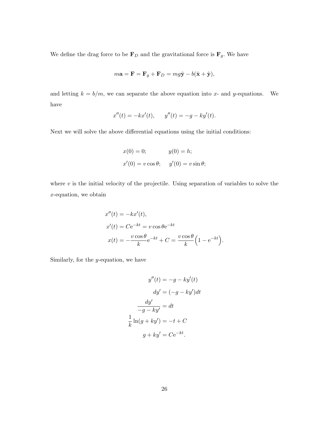We define the drag force to be  $\mathbf{F}_D$  and the gravitational force is  $\mathbf{F}_g$ *.* We have

$$
m\mathbf{a} = \mathbf{F} = \mathbf{F}_g + \mathbf{F}_D = mg\hat{\mathbf{y}} - b(\hat{\mathbf{x}} + \hat{\mathbf{y}}),
$$

and letting  $k = b/m$ , we can separate the above equation into *x*- and *y*-equations. We have

$$
x''(t) = -kx'(t), \qquad y''(t) = -g - ky'(t).
$$

Next we will solve the above differential equations using the initial conditions:

$$
x(0) = 0;
$$
  

$$
y(0) = h;
$$
  

$$
x'(0) = v \cos \theta;
$$
  

$$
y'(0) = v \sin \theta;
$$

where  $v$  is the initial velocity of the projectile. Using separation of variables to solve the *x*-equation, we obtain

$$
x''(t) = -kx'(t),
$$
  
\n
$$
x'(t) = Ce^{-kt} = v \cos \theta e^{-kt}
$$
  
\n
$$
x(t) = -\frac{v \cos \theta}{k} e^{-kt} + C = \frac{v \cos \theta}{k} \left( 1 - e^{-kt} \right).
$$

Similarly, for the *y*-equation, we have

$$
y''(t) = -g - ky'(t)
$$

$$
dy' = (-g - ky')dt
$$

$$
\frac{dy'}{-g - ky'} = dt
$$

$$
\frac{1}{k}\ln(g + ky') = -t + C
$$

$$
g + ky' = Ce^{-kt}.
$$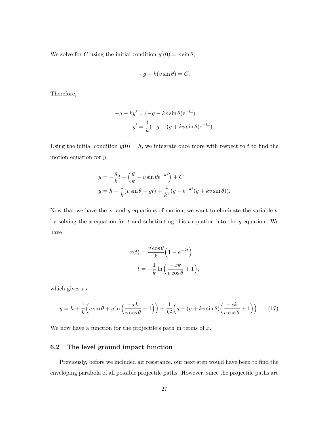We solve for *C* using the initial condition  $y'(0) = v \sin \theta$ ,

$$
-g - k(v\sin\theta) = C.
$$

Therefore,

$$
-g - ky' = (-g - kv \sin \theta) e^{-kt}
$$

$$
y' = \frac{1}{k} (-g + (g + kv \sin \theta) e^{-kt}).
$$

Using the initial condition  $y(0) = h$ , we integrate once more with respect to *t* to find the motion equation for *y*:

$$
y = -\frac{g}{k}t + \left(\frac{g}{k} + v\sin\theta e^{-kt}\right) + C
$$
  

$$
y = h + \frac{1}{k}(v\sin\theta - gt) + \frac{1}{k^2}(g - e^{-kt}(g + kv\sin\theta)).
$$

Now that we have the *x*- and *y*-equations of motion, we want to eliminate the variable *t*, by solving the *x*-equation for *t* and substituting this *t*-equation into the *y*-equation. We have

$$
x(t) = \frac{v \cos \theta}{k} \left( 1 - e^{-kt} \right)
$$

$$
t = -\frac{1}{k} \ln \left( \frac{-xk}{v \cos \theta} + 1 \right),
$$

which gives us

$$
y = h + \frac{1}{k} \left( v \sin \theta + g \ln \left( \frac{-x k}{v \cos \theta} + 1 \right) \right) + \frac{1}{k^2} \left( g - (g + k v \sin \theta) \left( \frac{-x k}{v \cos \theta} + 1 \right) \right). \tag{17}
$$

We now have a function for the projectile's path in terms of *x*.

#### 6.2 The level ground impact function

Previously, before we included air resistance, our next step would have been to find the enveloping parabola of all possible projectile paths. However, since the projectile paths are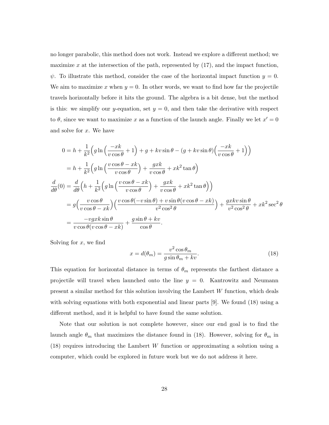no longer parabolic, this method does not work. Instead we explore a different method; we maximize  $x$  at the intersection of the path, represented by  $(17)$ , and the impact function,  $\psi$ . To illustrate this method, consider the case of the horizontal impact function  $y = 0$ . We aim to maximize  $x$  when  $y = 0$ . In other words, we want to find how far the projectile travels horizontally before it hits the ground. The algebra is a bit dense, but the method is this: we simplify our *y*-equation, set  $y = 0$ , and then take the derivative with respect to  $\theta$ , since we want to maximize x as a function of the launch angle. Finally we let  $x'=0$ and solve for *x*. We have

$$
0 = h + \frac{1}{k^2} \Big( g \ln \Big( \frac{-x k}{v \cos \theta} + 1 \Big) + g + kv \sin \theta - \big( g + kv \sin \theta \big) \Big( \frac{-x k}{v \cos \theta} + 1 \Big) \Big)
$$
  
\n
$$
= h + \frac{1}{k^2} \Big( g \ln \Big( \frac{v \cos \theta - x k}{v \cos \theta} \Big) + \frac{g x k}{v \cos \theta} + x k^2 \tan \theta \Big)
$$
  
\n
$$
\frac{d}{d\theta} (0) = \frac{d}{d\theta} \Big( h + \frac{1}{k^2} \Big( g \ln \Big( \frac{v \cos \theta - x k}{v \cos \theta} \Big) + \frac{g x k}{v \cos \theta} + x k^2 \tan \theta \Big) \Big)
$$
  
\n
$$
= g \Big( \frac{v \cos \theta}{v \cos \theta - x k} \Big) \Big( \frac{v \cos \theta (-v \sin \theta) + v \sin \theta (v \cos \theta - x k)}{v^2 \cos^2 \theta} \Big) + \frac{g x k v \sin \theta}{v^2 \cos^2 \theta} + x k^2 \sec^2 \theta
$$
  
\n
$$
= \frac{-v g x k \sin \theta}{v \cos \theta (v \cos \theta - x k)} + \frac{g \sin \theta + k v}{\cos \theta}.
$$

Solving for *x*, we find

$$
x = d(\theta_m) = \frac{v^2 \cos \theta_m}{g \sin \theta_m + kv}.
$$
\n(18)

This equation for horizontal distance in terms of  $\theta_m$  represents the farthest distance a projectile will travel when launched onto the line *y* = 0. Kantrowitz and Neumann present a similar method for this solution involving the Lambert *W* function, which deals with solving equations with both exponential and linear parts [9]. We found (18) using a different method, and it is helpful to have found the same solution.

Note that our solution is not complete however, since our end goal is to find the launch angle  $\theta_m$  that maximizes the distance found in (18). However, solving for  $\theta_m$  in (18) requires introducing the Lambert *W* function or approximating a solution using a computer, which could be explored in future work but we do not address it here.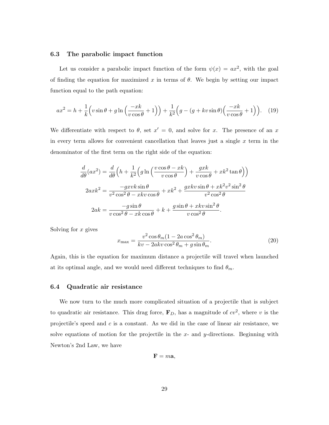#### 6.3 The parabolic impact function

Let us consider a parabolic impact function of the form  $\psi(x) = ax^2$ , with the goal of finding the equation for maximized  $x$  in terms of  $\theta$ . We begin by setting our impact function equal to the path equation:

$$
ax^{2} = h + \frac{1}{k} \left( v \sin \theta + g \ln \left( \frac{-xk}{v \cos \theta} + 1 \right) \right) + \frac{1}{k^{2}} \left( g - \left( g + kv \sin \theta \right) \left( \frac{-xk}{v \cos \theta} + 1 \right) \right). \tag{19}
$$

We differentiate with respect to  $\theta$ , set  $x' = 0$ , and solve for *x*. The presence of an *x* in every term allows for convenient cancellation that leaves just a single *x* term in the denominator of the first term on the right side of the equation:

$$
\frac{d}{d\theta}(ax^2) = \frac{d}{d\theta}\left(h + \frac{1}{k^2}\left(g\ln\left(\frac{v\cos\theta - xk}{v\cos\theta}\right) + \frac{gxk}{v\cos\theta} + xk^2\tan\theta\right)\right)
$$

$$
2axk^2 = \frac{-gxvk\sin\theta}{v^2\cos^2\theta - xkv\cos\theta} + xk^2 + \frac{gxkv\sin\theta + xk^2v^2\sin^2\theta}{v^2\cos^2\theta}
$$

$$
2ak = \frac{-g\sin\theta}{v\cos^2\theta - xk\cos\theta} + k + \frac{g\sin\theta + xkv\sin^2\theta}{v\cos^2\theta}.
$$

Solving for *x* gives

$$
x_{\max} = \frac{v^2 \cos \theta_m (1 - 2a \cos^2 \theta_m)}{kv - 2akv \cos^2 \theta_m + g \sin \theta_m}.
$$
 (20)

Again, this is the equation for maximum distance a projectile will travel when launched at its optimal angle, and we would need different techniques to find  $\theta_m$ .

#### 6.4 Quadratic air resistance

We now turn to the much more complicated situation of a projectile that is subject to quadratic air resistance. This drag force,  $\mathbf{F}_D$ , has a magnitude of  $cv^2$ , where *v* is the projectile's speed and *c* is a constant. As we did in the case of linear air resistance, we solve equations of motion for the projectile in the *x*- and *y*-directions. Beginning with Newton's 2nd Law, we have

$$
\mathbf{F}=m\mathbf{a},
$$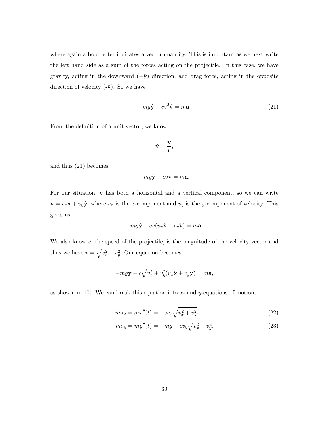where again a bold letter indicates a vector quantity. This is important as we next write the left hand side as a sum of the forces acting on the projectile. In this case, we have gravity, acting in the downward  $(-\hat{y})$  direction, and drag force, acting in the opposite direction of velocity  $(-\hat{\mathbf{v}})$ . So we have

$$
-mg\hat{\mathbf{y}} - cv^2\hat{\mathbf{v}} = m\mathbf{a}.
$$
 (21)

From the definition of a unit vector, we know

$$
\hat{\mathbf{v}} = \frac{\mathbf{v}}{v},
$$

and thus (21) becomes

$$
-mg\hat{\mathbf{y}}-cv\mathbf{v}=m\mathbf{a}.
$$

For our situation, **v** has both a horizontal and a vertical component, so we can write  $\mathbf{v} = v_x \hat{\mathbf{x}} + v_y \hat{\mathbf{y}}$ , where  $v_x$  is the *x*-component and  $v_y$  is the *y*-component of velocity. This gives us

$$
-mg\hat{\mathbf{y}} - cv(v_x\hat{\mathbf{x}} + v_y\hat{\mathbf{y}}) = m\mathbf{a}.
$$

We also know *v*, the speed of the projectile, is the magnitude of the velocity vector and thus we have  $v = \sqrt{v_x^2 + v_y^2}$ . Our equation becomes

$$
-mg\hat{\mathbf{y}} - c\sqrt{v_x^2 + v_y^2}(v_x\hat{\mathbf{x}} + v_y\hat{\mathbf{y}}) = m\mathbf{a},
$$

as shown in [10]. We can break this equation into *x*- and *y*-equations of motion,

$$
ma_x = mx''(t) = -cv_x\sqrt{v_x^2 + v_y^2},
$$
\n(22)

$$
ma_y = my''(t) = -mg - cv_y\sqrt{v_x^2 + v_y^2}.
$$
\n(23)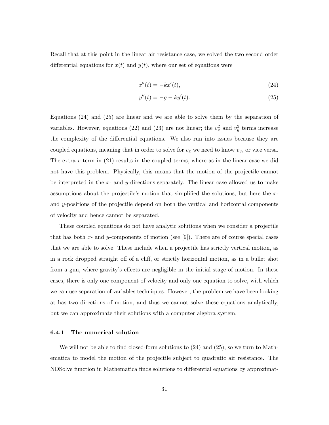Recall that at this point in the linear air resistance case, we solved the two second order differential equations for  $x(t)$  and  $y(t)$ , where our set of equations were

$$
x''(t) = -kx'(t),\tag{24}
$$

$$
y''(t) = -g - ky'(t).
$$
 (25)

Equations (24) and (25) are linear and we are able to solve them by the separation of variables. However, equations (22) and (23) are not linear; the  $v_x^2$  and  $v_y^2$  terms increase the complexity of the differential equations. We also run into issues because they are coupled equations, meaning that in order to solve for  $v_x$  we need to know  $v_y$ , or vice versa. The extra  $v$  term in  $(21)$  results in the coupled terms, where as in the linear case we did not have this problem. Physically, this means that the motion of the projectile cannot be interpreted in the *x*- and *y*-directions separately. The linear case allowed us to make assumptions about the projectile's motion that simplified the solutions, but here the *x*and *y*-positions of the projectile depend on both the vertical and horizontal components of velocity and hence cannot be separated.

These coupled equations do not have analytic solutions when we consider a projectile that has both *x*- and *y*-components of motion (see [9]). There are of course special cases that we are able to solve. These include when a projectile has strictly vertical motion, as in a rock dropped straight off of a cliff, or strictly horizontal motion, as in a bullet shot from a gun, where gravity's effects are negligible in the initial stage of motion. In these cases, there is only one component of velocity and only one equation to solve, with which we can use separation of variables techniques. However, the problem we have been looking at has two directions of motion, and thus we cannot solve these equations analytically, but we can approximate their solutions with a computer algebra system.

#### 6.4.1 The numerical solution

We will not be able to find closed-form solutions to  $(24)$  and  $(25)$ , so we turn to Mathematica to model the motion of the projectile subject to quadratic air resistance. The NDSolve function in Mathematica finds solutions to differential equations by approximat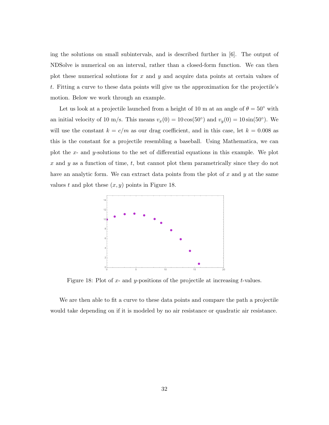ing the solutions on small subintervals, and is described further in [6]. The output of NDSolve is numerical on an interval, rather than a closed-form function. We can then plot these numerical solutions for *x* and *y* and acquire data points at certain values of *t*. Fitting a curve to these data points will give us the approximation for the projectile's motion. Below we work through an example.

Let us look at a projectile launched from a height of 10 m at an angle of  $\theta = 50^{\circ}$  with an initial velocity of 10 m/s. This means  $v_x(0) = 10 \cos(50^\circ)$  and  $v_y(0) = 10 \sin(50^\circ)$ . We will use the constant  $k = c/m$  as our drag coefficient, and in this case, let  $k = 0.008$  as this is the constant for a projectile resembling a baseball. Using Mathematica, we can plot the  $x$ - and  $y$ -solutions to the set of differential equations in this example. We plot *x* and *y* as a function of time, *t*, but cannot plot them parametrically since they do not have an analytic form. We can extract data points from the plot of *x* and *y* at the same values  $t$  and plot these  $(x, y)$  points in Figure 18.



Figure 18: Plot of *x*- and *y*-positions of the projectile at increasing *t*-values.

We are then able to fit a curve to these data points and compare the path a projectile would take depending on if it is modeled by no air resistance or quadratic air resistance.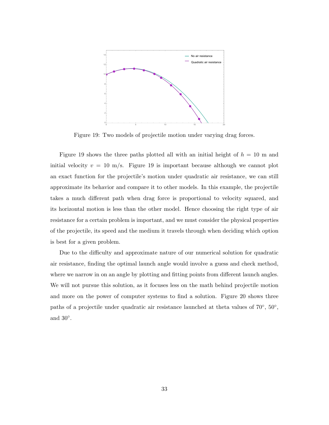

Figure 19: Two models of projectile motion under varying drag forces.

Figure 19 shows the three paths plotted all with an initial height of  $h = 10$  m and initial velocity  $v = 10$  m/s. Figure 19 is important because although we cannot plot an exact function for the projectile's motion under quadratic air resistance, we can still approximate its behavior and compare it to other models. In this example, the projectile takes a much different path when drag force is proportional to velocity squared, and its horizontal motion is less than the other model. Hence choosing the right type of air resistance for a certain problem is important, and we must consider the physical properties of the projectile, its speed and the medium it travels through when deciding which option is best for a given problem.

Due to the difficulty and approximate nature of our numerical solution for quadratic air resistance, finding the optimal launch angle would involve a guess and check method, where we narrow in on an angle by plotting and fitting points from different launch angles. We will not pursue this solution, as it focuses less on the math behind projectile motion and more on the power of computer systems to find a solution. Figure 20 shows three paths of a projectile under quadratic air resistance launched at theta values of  $70^{\circ}$ ,  $50^{\circ}$ , and  $30^\circ$ .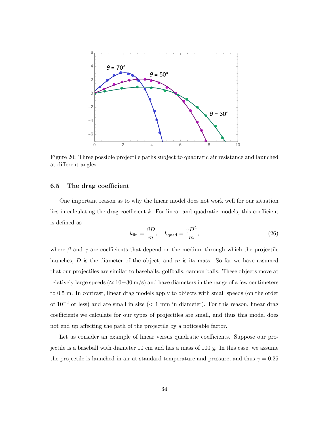

Figure 20: Three possible projectile paths subject to quadratic air resistance and launched at different angles.

#### 6.5 The drag coefficient

One important reason as to why the linear model does not work well for our situation lies in calculating the drag coefficient  $k$ . For linear and quadratic models, this coefficient is defined as

$$
k_{\rm lin} = \frac{\beta D}{m}, \quad k_{\rm quad} = \frac{\gamma D^2}{m}, \tag{26}
$$

where  $\beta$  and  $\gamma$  are coefficients that depend on the medium through which the projectile launches, *D* is the diameter of the object, and *m* is its mass. So far we have assumed that our projectiles are similar to baseballs, golfballs, cannon balls. These objects move at relatively large speeds ( $\approx 10-30$  m/s) and have diameters in the range of a few centimeters to 0.5 m. In contrast, linear drag models apply to objects with small speeds (on the order of  $10^{-3}$  or less) and are small in size ( $< 1$  mm in diameter). For this reason, linear drag coefficients we calculate for our types of projectiles are small, and thus this model does not end up affecting the path of the projectile by a noticeable factor.

Let us consider an example of linear versus quadratic coefficients. Suppose our projectile is a baseball with diameter 10 cm and has a mass of 100 g. In this case, we assume the projectile is launched in air at standard temperature and pressure, and thus  $\gamma = 0.25$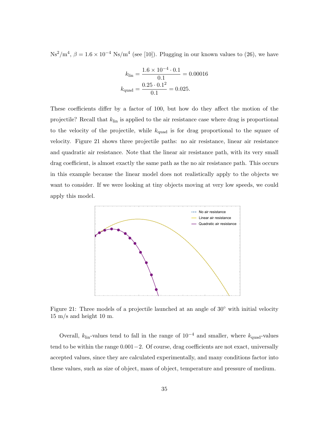$\text{Ns}^2/\text{m}^4$ ,  $\beta = 1.6 \times 10^{-4} \text{Ns/m}^4$  (see [10]). Plugging in our known values to (26), we have

$$
k_{\text{lin}} = \frac{1.6 \times 10^{-4} \cdot 0.1}{0.1} = 0.00016
$$

$$
k_{\text{quad}} = \frac{0.25 \cdot 0.1^2}{0.1} = 0.025.
$$

These coefficients differ by a factor of 100, but how do they affect the motion of the projectile? Recall that *k*lin is applied to the air resistance case where drag is proportional to the velocity of the projectile, while *k*quad is for drag proportional to the square of velocity. Figure 21 shows three projectile paths: no air resistance, linear air resistance and quadratic air resistance. Note that the linear air resistance path, with its very small drag coefficient, is almost exactly the same path as the no air resistance path. This occurs in this example because the linear model does not realistically apply to the objects we want to consider. If we were looking at tiny objects moving at very low speeds, we could apply this model.



Figure 21: Three models of a projectile launched at an angle of 30° with initial velocity 15 m/s and height 10 m.

Overall,  $k_{lin}$ -values tend to fall in the range of  $10^{-4}$  and smaller, where  $k_{quad}$ -values tend to be within the range  $0.001 - 2$ . Of course, drag coefficients are not exact, universally accepted values, since they are calculated experimentally, and many conditions factor into these values, such as size of object, mass of object, temperature and pressure of medium.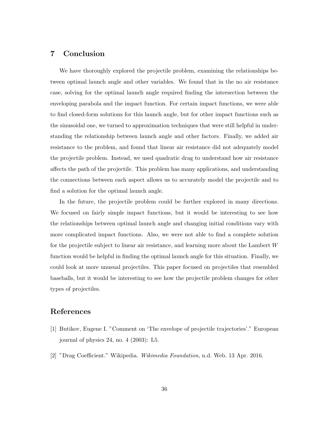## 7 Conclusion

We have thoroughly explored the projectile problem, examining the relationships between optimal launch angle and other variables. We found that in the no air resistance case, solving for the optimal launch angle required finding the intersection between the enveloping parabola and the impact function. For certain impact functions, we were able to find closed-form solutions for this launch angle, but for other impact functions such as the sinusoidal one, we turned to approximation techniques that were still helpful in understanding the relationship between launch angle and other factors. Finally, we added air resistance to the problem, and found that linear air resistance did not adequately model the projectile problem. Instead, we used quadratic drag to understand how air resistance affects the path of the projectile. This problem has many applications, and understanding the connections between each aspect allows us to accurately model the projectile and to find a solution for the optimal launch angle.

In the future, the projectile problem could be further explored in many directions. We focused on fairly simple impact functions, but it would be interesting to see how the relationships between optimal launch angle and changing initial conditions vary with more complicated impact functions. Also, we were not able to find a complete solution for the projectile subject to linear air resistance, and learning more about the Lambert *W* function would be helpful in finding the optimal launch angle for this situation. Finally, we could look at more unusual projectiles. This paper focused on projectiles that resembled baseballs, but it would be interesting to see how the projectile problem changes for other types of projectiles.

### References

- [1] Butikov, Eugene I. "Comment on 'The envelope of projectile trajectories'." European journal of physics 24, no. 4 (2003): L5.
- [2] "Drag Coecient." Wikipedia. *Wikimedia Foundation*, n.d. Web. 13 Apr. 2016.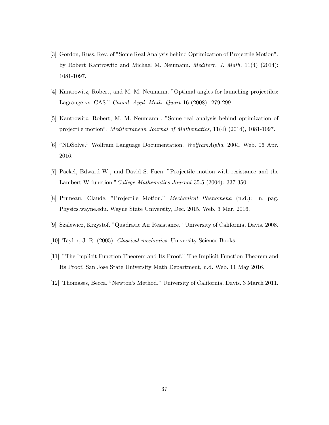- [3] Gordon, Russ. Rev. of "Some Real Analysis behind Optimization of Projectile Motion", by Robert Kantrowitz and Michael M. Neumann. *Mediterr. J. Math.* 11(4) (2014): 1081-1097.
- [4] Kantrowitz, Robert, and M. M. Neumann. "Optimal angles for launching projectiles: Lagrange vs. CAS." *Canad. Appl. Math. Quart* 16 (2008): 279-299.
- [5] Kantrowitz, Robert, M. M. Neumann . "Some real analysis behind optimization of projectile motion". *Mediterranean Journal of Mathematics*, 11(4) (2014), 1081-1097.
- [6] "NDSolve." Wolfram Language Documentation. *WolframAlpha*, 2004. Web. 06 Apr. 2016.
- [7] Packel, Edward W., and David S. Fuen. "Projectile motion with resistance and the Lambert W function."*College Mathematics Journal* 35.5 (2004): 337-350.
- [8] Pruneau, Claude. "Projectile Motion." *Mechanical Phenomena* (n.d.): n. pag. Physics.wayne.edu. Wayne State University, Dec. 2015. Web. 3 Mar. 2016.
- [9] Szalewicz, Krzystof. "Quadratic Air Resistance." University of California, Davis. 2008.
- [10] Taylor, J. R. (2005). *Classical mechanics*. University Science Books.
- [11] "The Implicit Function Theorem and Its Proof." The Implicit Function Theorem and Its Proof. San Jose State University Math Department, n.d. Web. 11 May 2016.
- [12] Thomases, Becca. "Newton's Method." University of California, Davis. 3 March 2011.